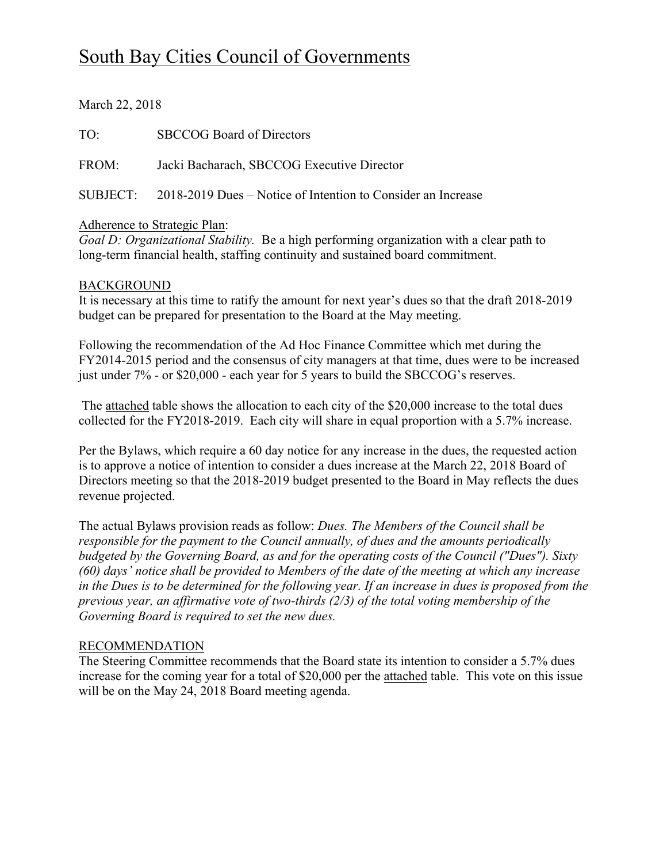# South Bay Cities Council of Governments

March 22, 2018

TO: SBCCOG Board of Directors

FROM: Jacki Bacharach, SBCCOG Executive Director

SUBJECT: 2018-2019 Dues – Notice of Intention to Consider an Increase

# Adherence to Strategic Plan:

*Goal D: Organizational Stability.* Be a high performing organization with a clear path to long-term financial health, staffing continuity and sustained board commitment.

### BACKGROUND

It is necessary at this time to ratify the amount for next year's dues so that the draft 2018-2019 budget can be prepared for presentation to the Board at the May meeting.

Following the recommendation of the Ad Hoc Finance Committee which met during the FY2014-2015 period and the consensus of city managers at that time, dues were to be increased just under 7% - or \$20,000 - each year for 5 years to build the SBCCOG's reserves.

The attached table shows the allocation to each city of the \$20,000 increase to the total dues collected for the FY2018-2019. Each city will share in equal proportion with a 5.7% increase.

Per the Bylaws, which require a 60 day notice for any increase in the dues, the requested action is to approve a notice of intention to consider a dues increase at the March 22, 2018 Board of Directors meeting so that the 2018-2019 budget presented to the Board in May reflects the dues revenue projected.

The actual Bylaws provision reads as follow: *Dues. The Members of the Council shall be responsible for the payment to the Council annually, of dues and the amounts periodically budgeted by the Governing Board, as and for the operating costs of the Council ("Dues"). Sixty (60) days' notice shall be provided to Members of the date of the meeting at which any increase in the Dues is to be determined for the following year. If an increase in dues is proposed from the previous year, an affirmative vote of two-thirds (2/3) of the total voting membership of the Governing Board is required to set the new dues.*

# RECOMMENDATION

The Steering Committee recommends that the Board state its intention to consider a 5.7% dues increase for the coming year for a total of \$20,000 per the attached table. This vote on this issue will be on the May 24, 2018 Board meeting agenda.